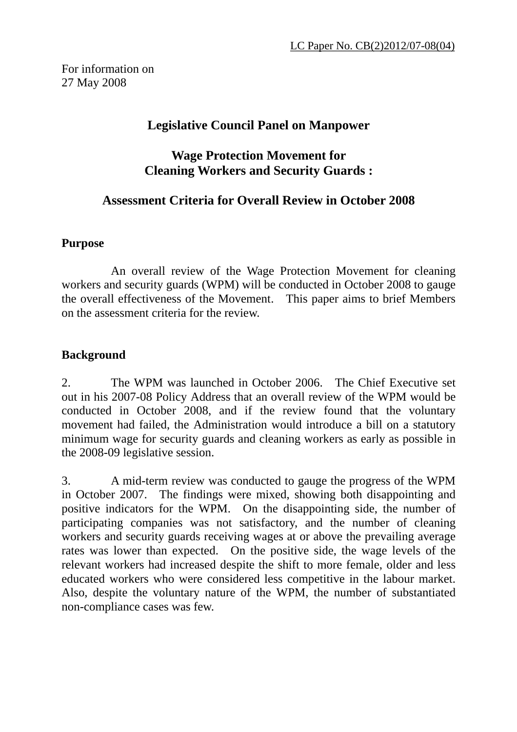## **Legislative Council Panel on Manpower**

## **Wage Protection Movement for Cleaning Workers and Security Guards :**

## **Assessment Criteria for Overall Review in October 2008**

#### **Purpose**

An overall review of the Wage Protection Movement for cleaning workers and security guards (WPM) will be conducted in October 2008 to gauge the overall effectiveness of the Movement. This paper aims to brief Members on the assessment criteria for the review.

#### **Background**

2. The WPM was launched in October 2006. The Chief Executive set out in his 2007-08 Policy Address that an overall review of the WPM would be conducted in October 2008, and if the review found that the voluntary movement had failed, the Administration would introduce a bill on a statutory minimum wage for security guards and cleaning workers as early as possible in the 2008-09 legislative session.

3. A mid-term review was conducted to gauge the progress of the WPM in October 2007. The findings were mixed, showing both disappointing and positive indicators for the WPM. On the disappointing side, the number of participating companies was not satisfactory, and the number of cleaning workers and security guards receiving wages at or above the prevailing average rates was lower than expected. On the positive side, the wage levels of the relevant workers had increased despite the shift to more female, older and less educated workers who were considered less competitive in the labour market. Also, despite the voluntary nature of the WPM, the number of substantiated non-compliance cases was few.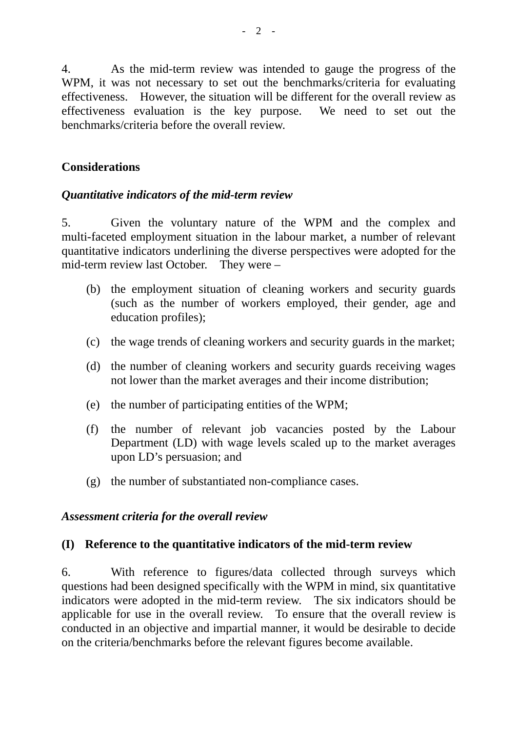4. As the mid-term review was intended to gauge the progress of the WPM, it was not necessary to set out the benchmarks/criteria for evaluating effectiveness. However, the situation will be different for the overall review as effectiveness evaluation is the key purpose. We need to set out the benchmarks/criteria before the overall review.

### **Considerations**

#### *Quantitative indicators of the mid-term review*

5. Given the voluntary nature of the WPM and the complex and multi-faceted employment situation in the labour market, a number of relevant quantitative indicators underlining the diverse perspectives were adopted for the mid-term review last October. They were –

- (b) the employment situation of cleaning workers and security guards (such as the number of workers employed, their gender, age and education profiles);
- (c) the wage trends of cleaning workers and security guards in the market;
- (d) the number of cleaning workers and security guards receiving wages not lower than the market averages and their income distribution;
- (e) the number of participating entities of the WPM;
- (f) the number of relevant job vacancies posted by the Labour Department (LD) with wage levels scaled up to the market averages upon LD's persuasion; and
- (g) the number of substantiated non-compliance cases.

#### *Assessment criteria for the overall review*

#### **(I) Reference to the quantitative indicators of the mid-term review**

6. With reference to figures/data collected through surveys which questions had been designed specifically with the WPM in mind, six quantitative indicators were adopted in the mid-term review. The six indicators should be applicable for use in the overall review. To ensure that the overall review is conducted in an objective and impartial manner, it would be desirable to decide on the criteria/benchmarks before the relevant figures become available.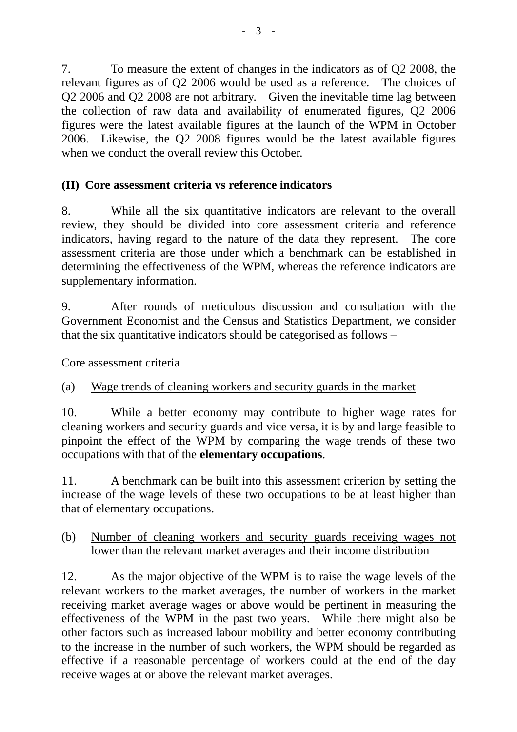7. To measure the extent of changes in the indicators as of Q2 2008, the relevant figures as of Q2 2006 would be used as a reference. The choices of Q2 2006 and Q2 2008 are not arbitrary. Given the inevitable time lag between the collection of raw data and availability of enumerated figures, Q2 2006 figures were the latest available figures at the launch of the WPM in October 2006. Likewise, the Q2 2008 figures would be the latest available figures when we conduct the overall review this October.

## **(II) Core assessment criteria vs reference indicators**

8. While all the six quantitative indicators are relevant to the overall review, they should be divided into core assessment criteria and reference indicators, having regard to the nature of the data they represent. The core assessment criteria are those under which a benchmark can be established in determining the effectiveness of the WPM, whereas the reference indicators are supplementary information.

9. After rounds of meticulous discussion and consultation with the Government Economist and the Census and Statistics Department, we consider that the six quantitative indicators should be categorised as follows –

### Core assessment criteria

# (a) Wage trends of cleaning workers and security guards in the market

10. While a better economy may contribute to higher wage rates for cleaning workers and security guards and vice versa, it is by and large feasible to pinpoint the effect of the WPM by comparing the wage trends of these two occupations with that of the **elementary occupations**.

11. A benchmark can be built into this assessment criterion by setting the increase of the wage levels of these two occupations to be at least higher than that of elementary occupations.

### (b) Number of cleaning workers and security guards receiving wages not lower than the relevant market averages and their income distribution

12. As the major objective of the WPM is to raise the wage levels of the relevant workers to the market averages, the number of workers in the market receiving market average wages or above would be pertinent in measuring the effectiveness of the WPM in the past two years. While there might also be other factors such as increased labour mobility and better economy contributing to the increase in the number of such workers, the WPM should be regarded as effective if a reasonable percentage of workers could at the end of the day receive wages at or above the relevant market averages.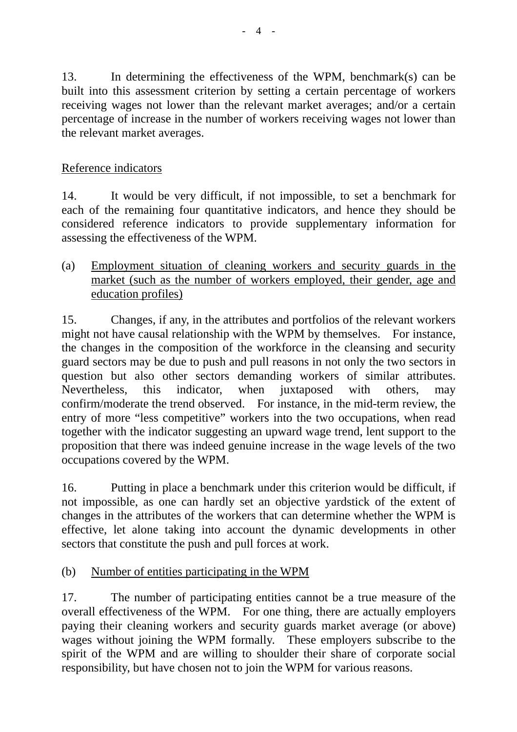13. In determining the effectiveness of the WPM, benchmark(s) can be built into this assessment criterion by setting a certain percentage of workers receiving wages not lower than the relevant market averages; and/or a certain percentage of increase in the number of workers receiving wages not lower than the relevant market averages.

## Reference indicators

14. It would be very difficult, if not impossible, to set a benchmark for each of the remaining four quantitative indicators, and hence they should be considered reference indicators to provide supplementary information for assessing the effectiveness of the WPM.

(a) Employment situation of cleaning workers and security guards in the market (such as the number of workers employed, their gender, age and education profiles)

15. Changes, if any, in the attributes and portfolios of the relevant workers might not have causal relationship with the WPM by themselves. For instance, the changes in the composition of the workforce in the cleansing and security guard sectors may be due to push and pull reasons in not only the two sectors in question but also other sectors demanding workers of similar attributes. Nevertheless, this indicator, when juxtaposed with others, may confirm/moderate the trend observed. For instance, in the mid-term review, the entry of more "less competitive" workers into the two occupations, when read together with the indicator suggesting an upward wage trend, lent support to the proposition that there was indeed genuine increase in the wage levels of the two occupations covered by the WPM.

16. Putting in place a benchmark under this criterion would be difficult, if not impossible, as one can hardly set an objective yardstick of the extent of changes in the attributes of the workers that can determine whether the WPM is effective, let alone taking into account the dynamic developments in other sectors that constitute the push and pull forces at work.

### (b) Number of entities participating in the WPM

17. The number of participating entities cannot be a true measure of the overall effectiveness of the WPM. For one thing, there are actually employers paying their cleaning workers and security guards market average (or above) wages without joining the WPM formally. These employers subscribe to the spirit of the WPM and are willing to shoulder their share of corporate social responsibility, but have chosen not to join the WPM for various reasons.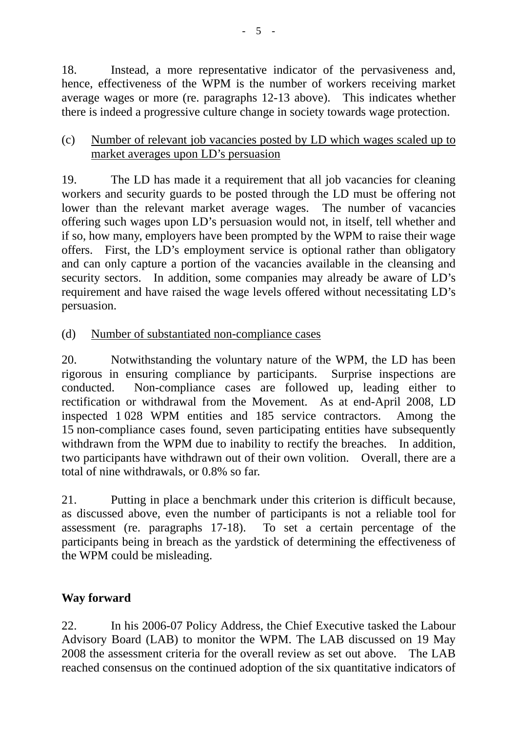18. Instead, a more representative indicator of the pervasiveness and, hence, effectiveness of the WPM is the number of workers receiving market average wages or more (re. paragraphs 12-13 above). This indicates whether there is indeed a progressive culture change in society towards wage protection.

### (c) Number of relevant job vacancies posted by LD which wages scaled up to market averages upon LD's persuasion

19. The LD has made it a requirement that all job vacancies for cleaning workers and security guards to be posted through the LD must be offering not lower than the relevant market average wages. The number of vacancies offering such wages upon LD's persuasion would not, in itself, tell whether and if so, how many, employers have been prompted by the WPM to raise their wage offers. First, the LD's employment service is optional rather than obligatory and can only capture a portion of the vacancies available in the cleansing and security sectors. In addition, some companies may already be aware of LD's requirement and have raised the wage levels offered without necessitating LD's persuasion.

(d) Number of substantiated non-compliance cases

20. Notwithstanding the voluntary nature of the WPM, the LD has been rigorous in ensuring compliance by participants. Surprise inspections are conducted. Non-compliance cases are followed up, leading either to rectification or withdrawal from the Movement. As at end-April 2008, LD inspected 1 028 WPM entities and 185 service contractors. Among the 15 non-compliance cases found, seven participating entities have subsequently withdrawn from the WPM due to inability to rectify the breaches. In addition, two participants have withdrawn out of their own volition. Overall, there are a total of nine withdrawals, or 0.8% so far.

21. Putting in place a benchmark under this criterion is difficult because, as discussed above, even the number of participants is not a reliable tool for assessment (re. paragraphs 17-18). To set a certain percentage of the participants being in breach as the yardstick of determining the effectiveness of the WPM could be misleading.

# **Way forward**

22. In his 2006-07 Policy Address, the Chief Executive tasked the Labour Advisory Board (LAB) to monitor the WPM. The LAB discussed on 19 May 2008 the assessment criteria for the overall review as set out above. The LAB reached consensus on the continued adoption of the six quantitative indicators of